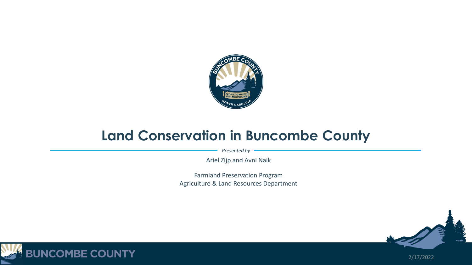

### **Land Conservation in Buncombe County**

*Presented by*

Ariel Zijp and Avni Naik

Farmland Preservation Program Agriculture & Land Resources Department





2/17/2022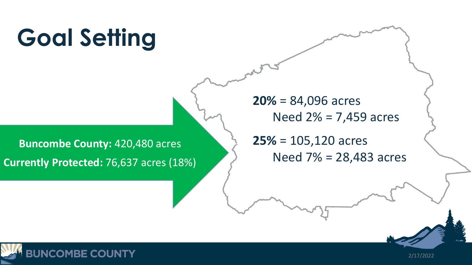# **Goal Setting**

**Buncombe County:** 420,480 acres **Currently Protected:** 76,637 acres (18%) ➢ **20%** = 84,096 acres Need  $2% = 7,459$  acres

➢ **25%** = 105,120 acres Need  $7% = 28,483$  acres



2/17/2022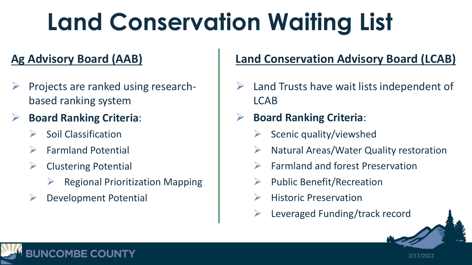# **Land Conservation Waiting List**

### **Ag Advisory Board (AAB)**

- ➢ Projects are ranked using researchbased ranking system
- ➢ **Board Ranking Criteria**:
	- ➢ Soil Classification
	- ➢ Farmland Potential
	- ➢ Clustering Potential
		- ➢ Regional Prioritization Mapping
	- Development Potential

**OMBE COUNTY** 

### **Land Conservation Advisory Board (LCAB)**

- Land Trusts have wait lists independent of LCAB
- ➢ **Board Ranking Criteria**:
	- Scenic quality/viewshed
	- ➢ Natural Areas/Water Quality restoration
	- ➢ Farmland and forest Preservation
	- ➢ Public Benefit/Recreation
	- **Historic Preservation**
	- $\triangleright$  Leveraged Funding/track record

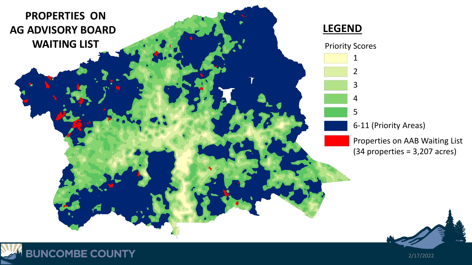

**BUNCOMBE COUNTY** 

2/17/2022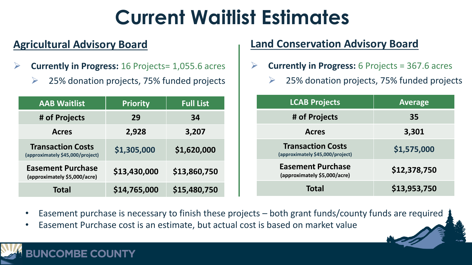### **Current Waitlist Estimates**

#### **Agricultural Advisory Board**

- ➢ **Currently in Progress:** 16 Projects= 1,055.6 acres
	- ➢ 25% donation projects, 75% funded projects

| <b>AAB Waitlist</b>                                          | <b>Priority</b> | <b>Full List</b> |
|--------------------------------------------------------------|-----------------|------------------|
| # of Projects                                                | 29              | 34               |
| <b>Acres</b>                                                 | 2,928           | 3,207            |
| <b>Transaction Costs</b><br>(approximately \$45,000/project) | \$1,305,000     | \$1,620,000      |
| <b>Easement Purchase</b><br>(approximately \$5,000/acre)     | \$13,430,000    | \$13,860,750     |
| <b>Total</b>                                                 | \$14,765,000    | \$15,480,750     |

MRE COUNTY

#### **Land Conservation Advisory Board**

- **Currently in Progress:** 6 Projects = 367.6 acres
	- ➢ 25% donation projects, 75% funded projects

| <b>LCAB Projects</b>                                         | <b>Average</b> |
|--------------------------------------------------------------|----------------|
| # of Projects                                                | 35             |
| <b>Acres</b>                                                 | 3,301          |
| <b>Transaction Costs</b><br>(approximately \$45,000/project) | \$1,575,000    |
| <b>Easement Purchase</b><br>(approximately \$5,000/acre)     | \$12,378,750   |
| Total                                                        | \$13,953,750   |

- Easement purchase is necessary to finish these projects both grant funds/county funds are required
- Easement Purchase cost is an estimate, but actual cost is based on market value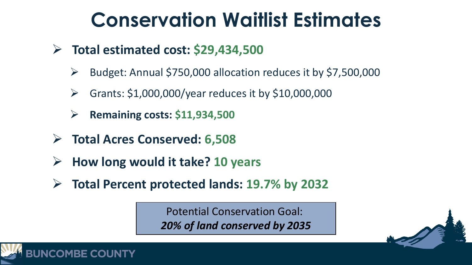### **Conservation Waitlist Estimates**

- ➢ **Total estimated cost: \$29,434,500**
	- ➢ Budget: Annual \$750,000 allocation reduces it by \$7,500,000
	- $\triangleright$  Grants: \$1,000,000/year reduces it by \$10,000,000
	- ➢ **Remaining costs: \$11,934,500**
- ➢ **Total Acres Conserved: 6,508**

**OMBE COUNTY** 

- ➢ **How long would it take? 10 years**
- ➢ **Total Percent protected lands: 19.7% by 2032**

Potential Conservation Goal: *20% of land conserved by 2035*